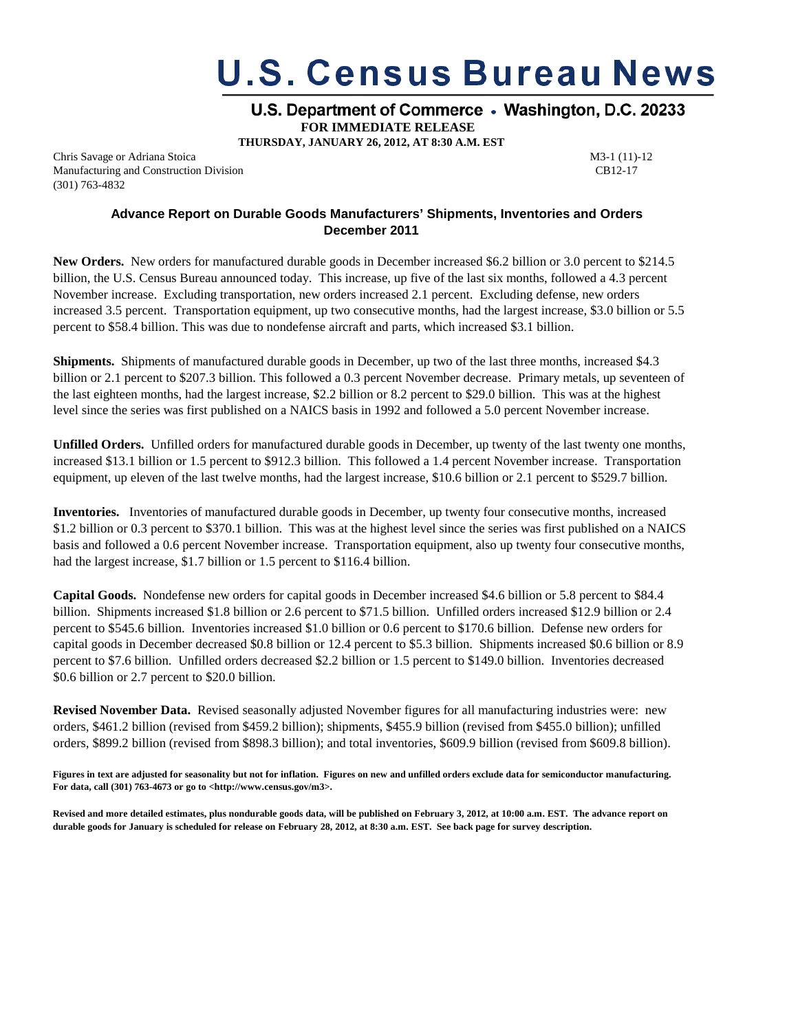# **U.S. Census Bureau News**

U.S. Department of Commerce • Washington, D.C. 20233

 **FOR IMMEDIATE RELEASE**

**THURSDAY, JANUARY 26, 2012, AT 8:30 A.M. EST**

Chris Savage or Adriana Stoica M3-1 (11)-12 Manufacturing and Construction Division CB12-17 (301) 763-4832

## **Advance Report on Durable Goods Manufacturers' Shipments, Inventories and Orders December 2011**

**New Orders.** New orders for manufactured durable goods in December increased \$6.2 billion or 3.0 percent to \$214.5 billion, the U.S. Census Bureau announced today. This increase, up five of the last six months, followed a 4.3 percent November increase. Excluding transportation, new orders increased 2.1 percent. Excluding defense, new orders increased 3.5 percent. Transportation equipment, up two consecutive months, had the largest increase, \$3.0 billion or 5.5 percent to \$58.4 billion. This was due to nondefense aircraft and parts, which increased \$3.1 billion.

**Shipments.** Shipments of manufactured durable goods in December, up two of the last three months, increased \$4.3 billion or 2.1 percent to \$207.3 billion. This followed a 0.3 percent November decrease. Primary metals, up seventeen of the last eighteen months, had the largest increase, \$2.2 billion or 8.2 percent to \$29.0 billion. This was at the highest level since the series was first published on a NAICS basis in 1992 and followed a 5.0 percent November increase.

**Unfilled Orders.** Unfilled orders for manufactured durable goods in December, up twenty of the last twenty one months, increased \$13.1 billion or 1.5 percent to \$912.3 billion. This followed a 1.4 percent November increase. Transportation equipment, up eleven of the last twelve months, had the largest increase, \$10.6 billion or 2.1 percent to \$529.7 billion.

**Inventories.** Inventories of manufactured durable goods in December, up twenty four consecutive months, increased \$1.2 billion or 0.3 percent to \$370.1 billion. This was at the highest level since the series was first published on a NAICS basis and followed a 0.6 percent November increase. Transportation equipment, also up twenty four consecutive months, had the largest increase, \$1.7 billion or 1.5 percent to \$116.4 billion.

**Capital Goods.** Nondefense new orders for capital goods in December increased \$4.6 billion or 5.8 percent to \$84.4 billion. Shipments increased \$1.8 billion or 2.6 percent to \$71.5 billion. Unfilled orders increased \$12.9 billion or 2.4 percent to \$545.6 billion. Inventories increased \$1.0 billion or 0.6 percent to \$170.6 billion. Defense new orders for capital goods in December decreased \$0.8 billion or 12.4 percent to \$5.3 billion. Shipments increased \$0.6 billion or 8.9 percent to \$7.6 billion. Unfilled orders decreased \$2.2 billion or 1.5 percent to \$149.0 billion. Inventories decreased \$0.6 billion or 2.7 percent to \$20.0 billion.

**Revised November Data.** Revised seasonally adjusted November figures for all manufacturing industries were: new orders, \$461.2 billion (revised from \$459.2 billion); shipments, \$455.9 billion (revised from \$455.0 billion); unfilled orders, \$899.2 billion (revised from \$898.3 billion); and total inventories, \$609.9 billion (revised from \$609.8 billion).

**Figures in text are adjusted for seasonality but not for inflation. Figures on new and unfilled orders exclude data for semiconductor manufacturing. For data, call (301) 763-4673 or go to <http://www.census.gov/m3>.**

**Revised and more detailed estimates, plus nondurable goods data, will be published on February 3, 2012, at 10:00 a.m. EST. The advance report on durable goods for January is scheduled for release on February 28, 2012, at 8:30 a.m. EST. See back page for survey description.**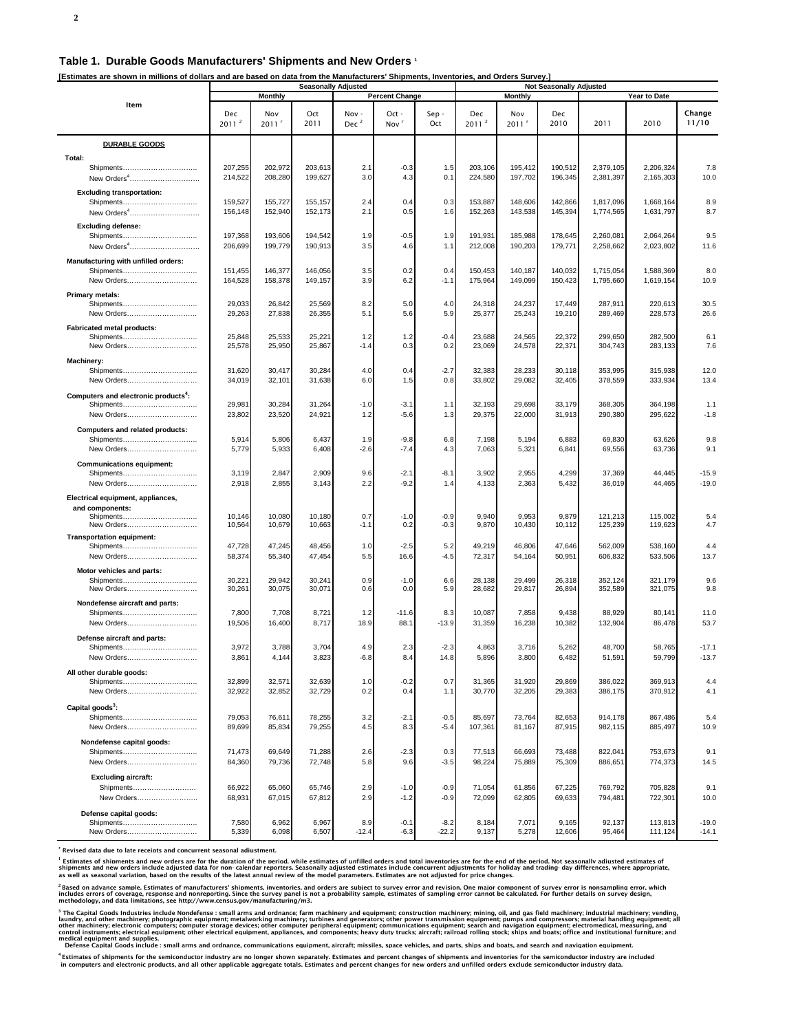**[Estimates are shown in millions of dollars and are based on data from the Manufacturers' Shipments, Inventories, and Orders Survey.]**

|                                                         | <b>Seasonally Adjusted</b> |                            |                       |                 |                           |                   | <b>Not Seasonally Adjusted</b> |                          |                    |                        |                        |                    |
|---------------------------------------------------------|----------------------------|----------------------------|-----------------------|-----------------|---------------------------|-------------------|--------------------------------|--------------------------|--------------------|------------------------|------------------------|--------------------|
|                                                         | Monthly                    |                            | <b>Percent Change</b> |                 |                           | <b>Monthly</b>    |                                |                          | Year to Date       |                        |                        |                    |
| Item                                                    | Dec<br>2011 <sup>2</sup>   | Nov<br>$2011$ <sup>r</sup> | Oct<br>2011           | Nov-<br>Dec $2$ | Oct -<br>Nov <sup>r</sup> | Sep-<br>Oct       | Dec<br>2011 <sup>2</sup>       | Nov<br>2011 <sup>r</sup> | Dec<br>2010        | 2011                   | 2010                   | Change<br>11/10    |
| <b>DURABLE GOODS</b>                                    |                            |                            |                       |                 |                           |                   |                                |                          |                    |                        |                        |                    |
|                                                         |                            |                            |                       |                 |                           |                   |                                |                          |                    |                        |                        |                    |
| Total:<br>Shipments<br>New Orders <sup>4</sup>          | 207,255<br>214,522         | 202,972<br>208,280         | 203,613<br>199,627    | 2.1<br>3.0      | $-0.3$<br>4.3             | 1.5<br>0.1        | 203,106<br>224,580             | 195,412<br>197,702       | 190,512<br>196,345 | 2,379,105<br>2,381,397 | 2,206,324<br>2,165,303 | 7.8<br>10.0        |
| <b>Excluding transportation:</b><br>Shipments           | 159,527                    | 155,727                    | 155,157               | 2.4             | 0.4                       | 0.3               | 153,887                        | 148,606                  | 142,866            | 1,817,096              | 1,668,164              | 8.9                |
| New Orders <sup>4</sup><br><b>Excluding defense:</b>    | 156,148                    | 152,940                    | 152,173               | 2.1             | 0.5                       | 1.6               | 152,263                        | 143,538                  | 145,394            | 1,774,565              | 1,631,797              | 8.7                |
| Shipments<br>New Orders <sup>4</sup>                    | 197,368<br>206,699         | 193,606<br>199,779         | 194,542<br>190,913    | 1.9<br>3.5      | $-0.5$<br>4.6             | 1.9<br>1.1        | 191,931<br>212,008             | 185,988<br>190,203       | 178,645<br>179,771 | 2,260,081<br>2,258,662 | 2,064,264<br>2,023,802 | 9.5<br>11.6        |
| Manufacturing with unfilled orders:                     |                            |                            |                       |                 |                           |                   |                                |                          |                    |                        |                        |                    |
| Shipments<br>New Orders                                 | 151,455<br>164,528         | 146,377<br>158,378         | 146,056<br>149,157    | 3.5<br>3.9      | 0.2<br>6.2                | 0.4<br>$-1.1$     | 150,453<br>175,964             | 140,187<br>149,099       | 140,032<br>150,423 | 1,715,054<br>1,795,660 | 1,588,369<br>1,619,154 | 8.0<br>10.9        |
| <b>Primary metals:</b>                                  |                            |                            |                       |                 |                           |                   |                                |                          |                    |                        |                        |                    |
| Shipments<br>New Orders                                 | 29,033<br>29,263           | 26,842<br>27,838           | 25,569<br>26,355      | 8.2<br>5.1      | 5.0<br>5.6                | 4.0<br>5.9        | 24,318<br>25,377               | 24,237<br>25,243         | 17,449<br>19,210   | 287,911<br>289,469     | 220,613<br>228,573     | 30.5<br>26.6       |
| <b>Fabricated metal products:</b>                       |                            |                            |                       |                 |                           |                   |                                |                          |                    |                        |                        |                    |
| Shipments<br>New Orders                                 | 25,848<br>25,578           | 25,533<br>25,950           | 25,221<br>25,867      | 1.2<br>$-1.4$   | 1.2<br>0.3                | $-0.4$<br>0.2     | 23,688<br>23,069               | 24,565<br>24,578         | 22,372<br>22,371   | 299,650<br>304,743     | 282,500<br>283,133     | 6.1<br>7.6         |
| Machinery:                                              |                            |                            |                       |                 |                           |                   |                                |                          |                    |                        |                        |                    |
| Shipments<br>New Orders                                 | 31,620<br>34,019           | 30,417<br>32,101           | 30,284<br>31,638      | 4.0<br>6.0      | 0.4<br>1.5                | $-2.7$<br>0.8     | 32,383<br>33,802               | 28,233<br>29,082         | 30,118<br>32,405   | 353,995<br>378,559     | 315.938<br>333,934     | 12.0<br>13.4       |
| Computers and electronic products <sup>4</sup> :        |                            |                            |                       |                 |                           |                   |                                |                          |                    |                        |                        |                    |
| Shipments<br>New Orders                                 | 29,981<br>23,802           | 30,284<br>23,520           | 31,264<br>24,921      | $-1.0$<br>1.2   | $-3.1$<br>$-5.6$          | 1.1<br>1.3        | 32,193<br>29,375               | 29,698<br>22,000         | 33,179<br>31,913   | 368,305<br>290,380     | 364,198<br>295,622     | 1.1<br>$-1.8$      |
| Computers and related products:                         |                            |                            |                       |                 |                           |                   |                                |                          |                    |                        |                        |                    |
| Shipments<br>New Orders                                 | 5,914<br>5,779             | 5,806<br>5,933             | 6,437<br>6,408        | 1.9<br>$-2.6$   | $-9.8$<br>$-7.4$          | 6.8<br>4.3        | 7,198<br>7,063                 | 5,194<br>5,321           | 6,883<br>6,841     | 69,830<br>69,556       | 63,626<br>63,736       | 9.8<br>9.1         |
| <b>Communications equipment:</b>                        |                            |                            |                       |                 |                           |                   |                                |                          |                    |                        |                        |                    |
| Shipments<br>New Orders                                 | 3,119<br>2,918             | 2,847<br>2,855             | 2,909<br>3,143        | 9.6<br>2.2      | $-2.1$<br>$-9.2$          | $-8.1$<br>1.4     | 3,902<br>4,133                 | 2,955<br>2,363           | 4,299<br>5,432     | 37,369<br>36,019       | 44,445<br>44,465       | $-15.9$<br>$-19.0$ |
| Electrical equipment, appliances,                       |                            |                            |                       |                 |                           |                   |                                |                          |                    |                        |                        |                    |
| and components:<br>Shipments<br>New Orders              | 10,146<br>10,564           | 10,080<br>10,679           | 10,180<br>10,663      | 0.7<br>$-1.1$   | $-1.0$<br>0.2             | $-0.9$<br>$-0.3$  | 9,940<br>9,870                 | 9,953<br>10,430          | 9,879<br>10,112    | 121,213<br>125,239     | 115,002<br>119,623     | 5.4<br>4.7         |
| Transportation equipment:                               |                            |                            |                       |                 |                           |                   |                                |                          |                    |                        |                        |                    |
| Shipments<br>New Orders                                 | 47,728<br>58,374           | 47,245<br>55,340           | 48,456<br>47,454      | 1.0<br>5.5      | $-2.5$<br>16.6            | 5.2<br>$-4.5$     | 49,219<br>72,317               | 46,806<br>54,164         | 47,646<br>50,951   | 562,009<br>606,832     | 538,160<br>533,506     | 4.4<br>13.7        |
| Motor vehicles and parts:                               |                            |                            |                       |                 |                           |                   |                                |                          |                    |                        |                        |                    |
| Shipments<br>New Orders                                 | 30,221<br>30,261           | 29,942<br>30,075           | 30,241<br>30,071      | 0.9<br>0.6      | $-1.0$<br>0.0             | 6.6<br>5.9        | 28,138<br>28,682               | 29,499<br>29,817         | 26,318<br>26,894   | 352,124<br>352,589     | 321,179<br>321,075     | 9.6<br>9.8         |
| Nondefense aircraft and parts:                          |                            |                            |                       |                 |                           |                   |                                |                          |                    |                        |                        |                    |
| Shipments<br>New Orders                                 | 7,800<br>19,506            | 7,708<br>16,400            | 8,721<br>8,717        | 1.2<br>18.9     | $-11.6$<br>88.1           | 8.3<br>$-13.9$    | 10,087<br>31,359               | 7,858<br>16,238          | 9,438<br>10,382    | 88,929<br>132,904      | 80,141<br>86,478       | 11.0<br>53.7       |
| Defense aircraft and parts:                             |                            |                            |                       |                 |                           |                   |                                |                          |                    |                        |                        |                    |
| Shipments<br>New Orders                                 | 3,972<br>3,861             | 3,788<br>4,144             | 3,704<br>3,823        | 4.9<br>$-6.8$   | 2.3<br>8.4                | $-2.3$<br>14.8    | 4,863<br>5,896                 | 3,716<br>3,800           | 5,262<br>6,482     | 48,700<br>51,591       | 58,765<br>59,799       | $-17.1$<br>$-13.7$ |
| All other durable goods:                                |                            |                            |                       |                 |                           |                   |                                |                          |                    |                        |                        |                    |
| Shipments<br>New Orders                                 | 32,899<br>32,922           | 32,571<br>32,852           | 32,639<br>32,729      | 1.0<br>0.2      | $-0.2$<br>0.4             | 0.7<br>1.1        | 31,365<br>30,770               | 31,920<br>32,205         | 29,869<br>29,383   | 386,022<br>386,175     | 369,913<br>370,912     | 4.4<br>4.1         |
|                                                         |                            |                            |                       |                 |                           |                   |                                |                          |                    |                        |                        |                    |
| Capital goods <sup>3</sup> :<br>Shipments<br>New Orders | 79,053<br>89,699           | 76,611<br>85,834           | 78,255<br>79,255      | 3.2<br>4.5      | $-2.1$<br>8.3             | $-0.5$<br>$-5.4$  | 85,697<br>107,361              | 73,764<br>81,167         | 82,653<br>87,915   | 914,178<br>982,115     | 867,486<br>885,497     | 5.4<br>10.9        |
| Nondefense capital goods:                               |                            |                            |                       |                 |                           |                   |                                |                          |                    |                        |                        |                    |
| Shipments<br>New Orders                                 | 71,473<br>84,360           | 69,649<br>79,736           | 71,288<br>72,748      | 2.6<br>5.8      | $-2.3$<br>9.6             | 0.3<br>$-3.5$     | 77,513<br>98,224               | 66,693<br>75,889         | 73,488<br>75,309   | 822,041<br>886,651     | 753,673<br>774,373     | 9.1<br>14.5        |
| <b>Excluding aircraft:</b><br>Shipments                 | 66,922                     | 65,060                     | 65,746                | 2.9             | $-1.0$                    | $-0.9$            | 71,054                         | 61,856                   | 67,225             | 769,792                | 705.828                | 9.1                |
| New Orders                                              | 68,931                     | 67,015                     | 67,812                | 2.9             | $-1.2$                    | $-0.9$            | 72,099                         | 62,805                   | 69,633             | 794,481                | 722,301                | 10.0               |
|                                                         |                            |                            |                       |                 |                           |                   |                                |                          |                    |                        |                        |                    |
| Defense capital goods:<br>Shipments<br>New Orders       | 7,580<br>5,339             | 6,962<br>6,098             | 6,967<br>6,507        | 8.9<br>$-12.4$  | $-0.1$<br>$-6.3$          | $-8.2$<br>$-22.2$ | 8,184<br>9,137                 | 7,071<br>5,278           | 9,165<br>12,606    | 92,137<br>95,464       | 113,813<br>111,124     | $-19.0$<br>$-14.1$ |
|                                                         |                            |                            |                       |                 |                           |                   |                                |                          |                    |                        |                        |                    |

r Revised data due to late receipts and concurrent seasonal adjustment.

<sup>1</sup> Estimates of shioments and new orders are for the duration of the period. while estimates of unfilled orders and total inventories are for the end of the period. Not seasonally adiusted estimates of<br>shipments and new o

<sup>2</sup> Based on advance sample. Estimates of manufacturers' shipments, inventories, and orders are subject to survey error and revision. One major component of survey error is nonsampling error, which<br>includes errors of cover

<sup>3</sup> The Capital Goods industries include Nondefense : small arms and ordnance; farm machinery, turbines and geuipment; construction machinery, and other machinery; vending, vending equipment inchinery; when a laundary; tur

<sup>4</sup> Estimates of shipments for the semiconductor industry are no longer shown separately. Estimates and percent changes of shipments and inventories for the semiconductor industry are included<br>in computers and electronic p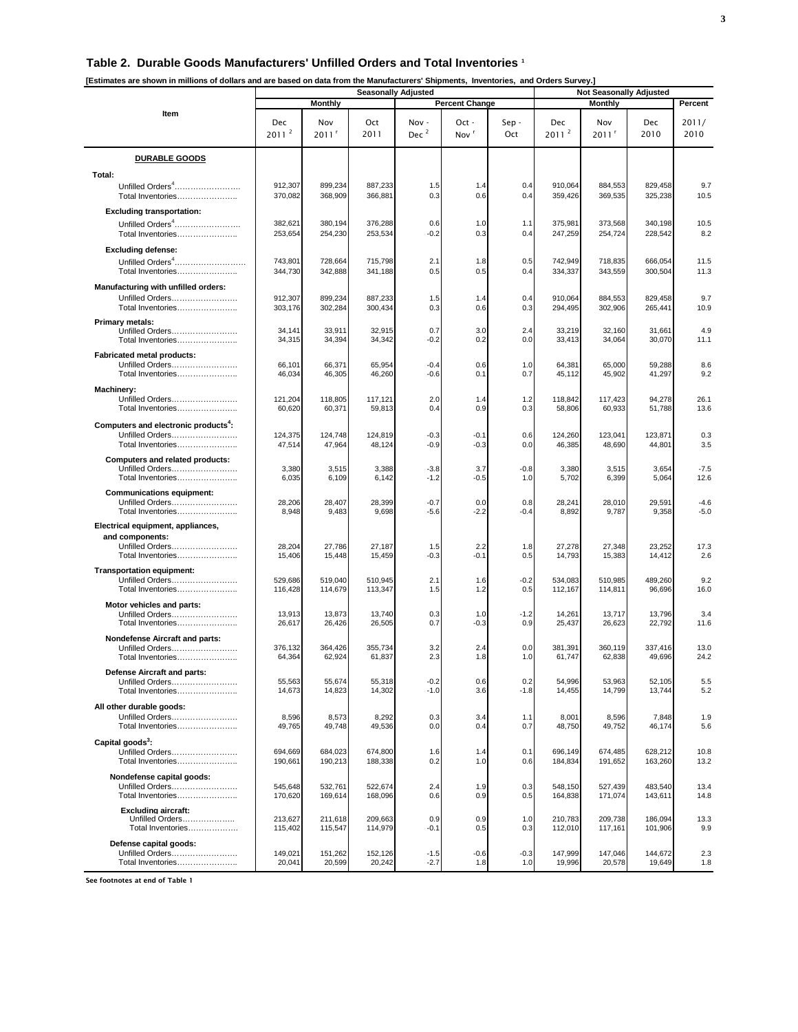### **Table 2. Durable Goods Manufacturers' Unfilled Orders and Total Inventories 1**

**[Estimates are shown in millions of dollars and are based on data from the Manufacturers' Shipments, Inventories, and Orders Survey.]**

|                                                                                          |                          |                          | <b>Seasonally Adjusted</b> | <b>Not Seasonally Adjusted</b> |                           |               |                          |                          |                    |                  |
|------------------------------------------------------------------------------------------|--------------------------|--------------------------|----------------------------|--------------------------------|---------------------------|---------------|--------------------------|--------------------------|--------------------|------------------|
|                                                                                          | Monthly                  |                          |                            |                                | <b>Percent Change</b>     |               |                          | Percent                  |                    |                  |
| Item                                                                                     | Dec<br>2011 <sup>2</sup> | Nov<br>2011 <sup>r</sup> | Oct<br>2011                | Nov -<br>Dec <sup>2</sup>      | Oct -<br>Nov <sup>r</sup> | Sep -<br>Oct  | Dec<br>2011 <sup>2</sup> | Nov<br>2011 <sup>r</sup> | Dec<br>2010        | 2011/<br>2010    |
| <b>DURABLE GOODS</b>                                                                     |                          |                          |                            |                                |                           |               |                          |                          |                    |                  |
| Total:                                                                                   |                          |                          |                            |                                |                           |               |                          |                          |                    |                  |
| Unfilled Orders <sup>4</sup><br>Total Inventories                                        | 912,307<br>370,082       | 899,234<br>368,909       | 887,233<br>366,881         | 1.5<br>0.3                     | 1.4<br>0.6                | 0.4<br>0.4    | 910,064<br>359,426       | 884,553<br>369,535       | 829,458<br>325,238 | 9.7<br>10.5      |
| <b>Excluding transportation:</b>                                                         |                          |                          |                            |                                |                           |               |                          |                          |                    |                  |
| Unfilled Orders <sup>4</sup><br>Total Inventories                                        | 382,621<br>253,654       | 380,194<br>254,230       | 376,288<br>253,534         | 0.6<br>$-0.2$                  | 1.0<br>0.3                | 1.1<br>0.4    | 375.981<br>247,259       | 373,568<br>254,724       | 340,198<br>228,542 | 10.5<br>8.2      |
| <b>Excluding defense:</b>                                                                |                          |                          |                            |                                |                           |               |                          |                          |                    |                  |
| Unfilled Orders <sup>4</sup><br>Total Inventories                                        | 743,801<br>344,730       | 728,664<br>342,888       | 715,798<br>341,188         | 2.1<br>0.5                     | 1.8<br>0.5                | 0.5<br>0.4    | 742,949<br>334,337       | 718,835<br>343,559       | 666.054<br>300,504 | 11.5<br>11.3     |
| Manufacturing with unfilled orders:                                                      |                          |                          |                            |                                |                           |               |                          |                          |                    |                  |
| Unfilled Orders<br>Total Inventories                                                     | 912,307<br>303,176       | 899,234<br>302,284       | 887,233<br>300,434         | 1.5<br>0.3                     | 1.4<br>0.6                | 0.4<br>0.3    | 910,064<br>294,495       | 884,553<br>302,906       | 829,458<br>265,441 | 9.7<br>10.9      |
| <b>Primary metals:</b><br>Unfilled Orders<br>Total Inventories                           | 34,141<br>34,315         | 33,911<br>34,394         | 32,915<br>34,342           | 0.7<br>$-0.2$                  | 3.0<br>0.2                | 2.4<br>0.0    | 33,219<br>33,413         | 32,160<br>34,064         | 31,661<br>30,070   | 4.9<br>11.1      |
| <b>Fabricated metal products:</b>                                                        |                          |                          |                            |                                |                           |               |                          |                          |                    |                  |
| Unfilled Orders<br>Total Inventories                                                     | 66,101<br>46,034         | 66,371<br>46,305         | 65,954<br>46,260           | $-0.4$<br>$-0.6$               | 0.6<br>0.1                | 1.0<br>0.7    | 64,381<br>45,112         | 65,000<br>45,902         | 59,288<br>41,297   | 8.6<br>9.2       |
| <b>Machinery:</b>                                                                        |                          |                          |                            |                                |                           |               |                          |                          |                    |                  |
| Unfilled Orders<br>Total Inventories                                                     | 121,204<br>60,620        | 118,805<br>60,371        | 117,121<br>59,813          | 2.0<br>0.4                     | 1.4<br>0.9                | 1.2<br>0.3    | 118,842<br>58,806        | 117,423<br>60,933        | 94,278<br>51,788   | 26.1<br>13.6     |
| Computers and electronic products <sup>4</sup> :<br>Unfilled Orders<br>Total Inventories | 124,375<br>47,514        | 124,748<br>47,964        | 124,819<br>48,124          | $-0.3$<br>$-0.9$               | $-0.1$<br>$-0.3$          | 0.6<br>0.0    | 124,260<br>46,385        | 123,041<br>48,690        | 123,871<br>44,801  | 0.3<br>3.5       |
| Computers and related products:<br>Unfilled Orders<br>Total Inventories                  | 3,380<br>6,035           | 3,515<br>6,109           | 3,388<br>6,142             | $-3.8$<br>$-1.2$               | 3.7<br>$-0.5$             | $-0.8$<br>1.0 | 3,380<br>5,702           | 3,515<br>6,399           | 3,654<br>5,064     | $-7.5$<br>12.6   |
| <b>Communications equipment:</b><br>Unfilled Orders<br>Total Inventories                 | 28,206<br>8,948          | 28,407<br>9,483          | 28,399<br>9,698            | $-0.7$<br>$-5.6$               | 0.0<br>$-2.2$             | 0.8<br>$-0.4$ | 28,241<br>8,892          | 28,010<br>9,787          | 29,591<br>9,358    | $-4.6$<br>$-5.0$ |
| Electrical equipment, appliances,                                                        |                          |                          |                            |                                |                           |               |                          |                          |                    |                  |
| and components:<br>Unfilled Orders<br>Total Inventories                                  | 28,204<br>15,406         | 27,786<br>15,448         | 27,187<br>15,459           | 1.5<br>$-0.3$                  | 2.2<br>$-0.1$             | 1.8<br>0.5    | 27,278<br>14,793         | 27,348<br>15,383         | 23,252<br>14,412   | 17.3<br>2.6      |
| <b>Transportation equipment:</b>                                                         |                          |                          |                            |                                |                           |               |                          |                          |                    |                  |
| Unfilled Orders<br>Total Inventories                                                     | 529,686<br>116,428       | 519,040<br>114,679       | 510,945<br>113,347         | 2.1<br>1.5                     | 1.6<br>1.2                | $-0.2$<br>0.5 | 534,083<br>112,167       | 510,985<br>114,811       | 489,260<br>96,696  | 9.2<br>16.0      |
| Motor vehicles and parts:<br>Unfilled Orders<br>Total Inventories                        | 13,913<br>26,617         | 13,873<br>26,426         | 13,740<br>26,505           | 0.3<br>0.7                     | 1.0<br>$-0.3$             | $-1.2$<br>0.9 | 14,261<br>25,437         | 13,717<br>26,623         | 13,796<br>22,792   | 3.4<br>11.6      |
| <b>Nondefense Aircraft and parts:</b><br>Unfilled Orders                                 | 376,132                  | 364,426                  | 355,734                    | 3.2                            | 2.4                       | 0.0           | 381,391                  | 360,119                  | 337,416            | 13.0             |
| Total Inventories                                                                        | 64,364                   | 62,924                   | 61,837                     | 2.3                            | 1.8                       | 1.0           | 61,747                   | 62,838                   | 49,696             | 24.2             |
| Defense Aircraft and parts:<br>Unfilled Orders<br>Total Inventories                      | 55,563<br>14,673         | 55,674<br>14,823         | 55,318<br>14,302           | $-0.2$<br>$-1.0$               | 0.6<br>3.6                | 0.2<br>$-1.8$ | 54,996<br>14,455         | 53,963<br>14,799         | 52,105<br>13,744   | 5.5<br>5.2       |
| All other durable goods:<br>Unfilled Orders<br>Total Inventories                         | 8,596<br>49,765          | 8,573<br>49,748          | 8,292<br>49,536            | 0.3<br>0.0                     | 3.4<br>0.4                | 1.1<br>0.7    | 8,001<br>48,750          | 8,596<br>49,752          | 7,848<br>46,174    | 1.9<br>5.6       |
| Capital goods <sup>3</sup> :<br>Unfilled Orders<br>Total Inventories                     | 694,669<br>190,661       | 684,023<br>190,213       | 674,800<br>188,338         | 1.6<br>0.2                     | 1.4<br>1.0                | 0.1<br>0.6    | 696,149<br>184,834       | 674,485<br>191,652       | 628,212<br>163,260 | 10.8<br>13.2     |
| Nondefense capital goods:<br>Unfilled Orders<br>Total Inventories                        | 545,648<br>170,620       | 532,761<br>169,614       | 522,674<br>168,096         | 2.4<br>0.6                     | 1.9<br>0.9                | 0.3<br>0.5    | 548,150<br>164,838       | 527,439<br>171,074       | 483,540<br>143,611 | 13.4<br>14.8     |
| <b>Excluding aircraft:</b><br>Unfilled Orders                                            | 213,627                  | 211.618                  | 209,663                    | 0.9                            | 0.9                       | 1.0           | 210.783                  | 209.738                  | 186,094            | 13.3             |
| Total Inventories                                                                        | 115,402                  | 115,547                  | 114,979                    | $-0.1$                         | 0.5                       | 0.3           | 112,010                  | 117,161                  | 101,906            | 9.9              |
| Defense capital goods:<br>Unfilled Orders<br>Total Inventories                           | 149,021<br>20,041        | 151,262<br>20,599        | 152,126<br>20,242          | $-1.5$<br>$-2.7$               | $-0.6$<br>1.8             | $-0.3$<br>1.0 | 147,999<br>19,996        | 147,046<br>20,578        | 144,672<br>19,649  | 2.3<br>1.8       |

See footnotes at end of Table 1